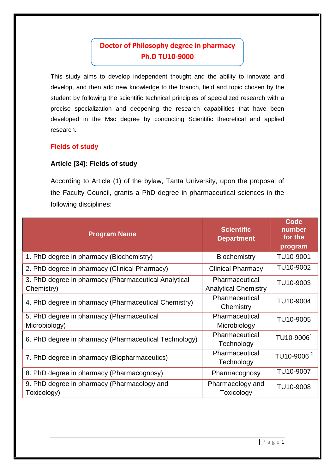# **Doctor of Philosophy degree in pharmacy Ph.D TU10-9000**

This study aims to develop independent thought and the ability to innovate and develop, and then add new knowledge to the branch, field and topic chosen by the student by following the scientific technical principles of specialized research with a precise specialization and deepening the research capabilities that have been developed in the Msc degree by conducting Scientific theoretical and applied research.

### **Fields of study**

### **Article [34]: Fields of study**

According to Article (1) of the bylaw, Tanta University, upon the proposal of the Faculty Council, grants a PhD degree in pharmaceutical sciences in the following disciplines:

| <b>Program Name</b>                                                | <b>Scientific</b><br><b>Department</b>        | Code<br>number<br>for the<br>program |
|--------------------------------------------------------------------|-----------------------------------------------|--------------------------------------|
| 1. PhD degree in pharmacy (Biochemistry)                           | <b>Biochemistry</b>                           | TU10-9001                            |
| 2. PhD degree in pharmacy (Clinical Pharmacy)                      | <b>Clinical Pharmacy</b>                      | TU10-9002                            |
| 3. PhD degree in pharmacy (Pharmaceutical Analytical<br>Chemistry) | Pharmaceutical<br><b>Analytical Chemistry</b> | TU10-9003                            |
| 4. PhD degree in pharmacy (Pharmaceutical Chemistry)               | Pharmaceutical<br>Chemistry                   | TU10-9004                            |
| 5. PhD degree in pharmacy (Pharmaceutical<br>Microbiology)         | Pharmaceutical<br>Microbiology                | TU10-9005                            |
| 6. PhD degree in pharmacy (Pharmaceutical Technology)              | Pharmaceutical<br>Technology                  | TU10-9006 <sup>1</sup>               |
| 7. PhD degree in pharmacy (Biopharmaceutics)                       | Pharmaceutical<br>Technology                  | TU10-9006 <sup>2</sup>               |
| 8. PhD degree in pharmacy (Pharmacognosy)                          | Pharmacognosy                                 | TU10-9007                            |
| 9. PhD degree in pharmacy (Pharmacology and<br>Toxicology)         | Pharmacology and<br>Toxicology                | TU10-9008                            |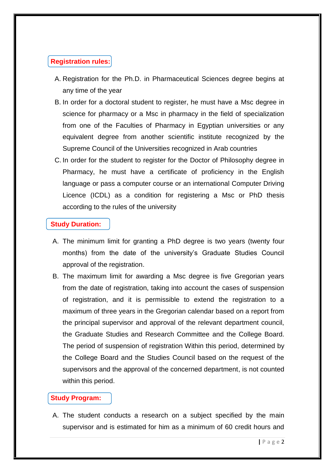# **Registration rules:**

- A. Registration for the Ph.D. in Pharmaceutical Sciences degree begins at any time of the year
- B. In order for a doctoral student to register, he must have a Msc degree in science for pharmacy or a Msc in pharmacy in the field of specialization from one of the Faculties of Pharmacy in Egyptian universities or any equivalent degree from another scientific institute recognized by the Supreme Council of the Universities recognized in Arab countries
- C. In order for the student to register for the Doctor of Philosophy degree in Pharmacy, he must have a certificate of proficiency in the English language or pass a computer course or an international Computer Driving Licence (ICDL) as a condition for registering a Msc or PhD thesis according to the rules of the university

## **Study Duration:**

- A. The minimum limit for granting a PhD degree is two years (twenty four months) from the date of the university's Graduate Studies Council approval of the registration.
- B. The maximum limit for awarding a Msc degree is five Gregorian years from the date of registration, taking into account the cases of suspension of registration, and it is permissible to extend the registration to a maximum of three years in the Gregorian calendar based on a report from the principal supervisor and approval of the relevant department council, the Graduate Studies and Research Committee and the College Board. The period of suspension of registration Within this period, determined by the College Board and the Studies Council based on the request of the supervisors and the approval of the concerned department, is not counted within this period.

# **Study Program:**

A. The student conducts a research on a subject specified by the main supervisor and is estimated for him as a minimum of 60 credit hours and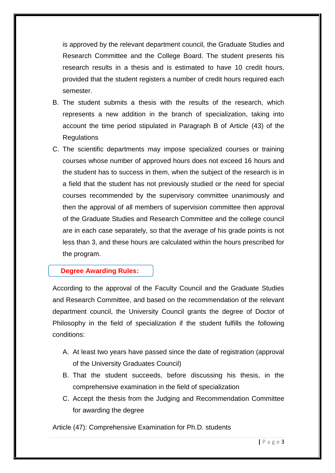is approved by the relevant department council, the Graduate Studies and Research Committee and the College Board. The student presents his research results in a thesis and is estimated to have 10 credit hours, provided that the student registers a number of credit hours required each semester.

- B. The student submits a thesis with the results of the research, which represents a new addition in the branch of specialization, taking into account the time period stipulated in Paragraph B of Article (43) of the **Regulations**
- C. The scientific departments may impose specialized courses or training courses whose number of approved hours does not exceed 16 hours and the student has to success in them, when the subject of the research is in a field that the student has not previously studied or the need for special courses recommended by the supervisory committee unanimously and then the approval of all members of supervision committee then approval of the Graduate Studies and Research Committee and the college council are in each case separately, so that the average of his grade points is not less than 3, and these hours are calculated within the hours prescribed for the program.

### **Degree Awarding Rules:**

According to the approval of the Faculty Council and the Graduate Studies and Research Committee, and based on the recommendation of the relevant department council, the University Council grants the degree of Doctor of Philosophy in the field of specialization if the student fulfills the following conditions:

- A. At least two years have passed since the date of registration (approval of the University Graduates Council)
- B. That the student succeeds, before discussing his thesis, in the comprehensive examination in the field of specialization
- C. Accept the thesis from the Judging and Recommendation Committee for awarding the degree

Article (47): Comprehensive Examination for Ph.D. students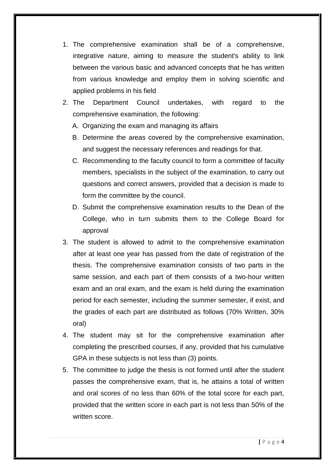- 1. The comprehensive examination shall be of a comprehensive, integrative nature, aiming to measure the student's ability to link between the various basic and advanced concepts that he has written from various knowledge and employ them in solving scientific and applied problems in his field
- 2. The Department Council undertakes, with regard to the comprehensive examination, the following:
	- A. Organizing the exam and managing its affairs
	- B. Determine the areas covered by the comprehensive examination, and suggest the necessary references and readings for that.
	- C. Recommending to the faculty council to form a committee of faculty members, specialists in the subject of the examination, to carry out questions and correct answers, provided that a decision is made to form the committee by the council.
	- D. Submit the comprehensive examination results to the Dean of the College, who in turn submits them to the College Board for approval
- 3. The student is allowed to admit to the comprehensive examination after at least one year has passed from the date of registration of the thesis. The comprehensive examination consists of two parts in the same session, and each part of them consists of a two-hour written exam and an oral exam, and the exam is held during the examination period for each semester, including the summer semester, if exist, and the grades of each part are distributed as follows (70% Written, 30% oral)
- 4. The student may sit for the comprehensive examination after completing the prescribed courses, if any, provided that his cumulative GPA in these subjects is not less than (3) points.
- 5. The committee to judge the thesis is not formed until after the student passes the comprehensive exam, that is, he attains a total of written and oral scores of no less than 60% of the total score for each part, provided that the written score in each part is not less than 50% of the written score.